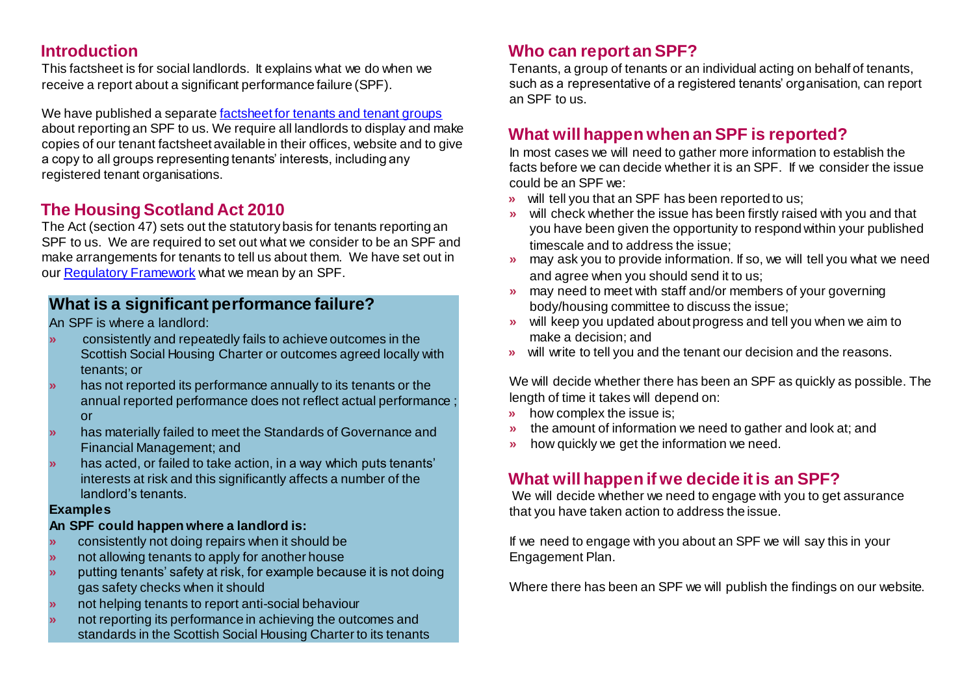#### **Introduction**

This factsheet is for social landlords. It explains what we do when we receive a report about a significant performance failure (SPF).

We have published a separ[ate factsheet for tenants and tenant groups](https://www.housingregulator.gov.scot/for-landlords/advisory-guidance/how-we-work/find-out-more-about-significant-performance-failures) about reporting an SPF to us. We require all landlords to display and make copies of our tenant factsheet available in their offices, website and to give a copy to all groups representing tenants' interests, including any registered tenant organisations.

## **The Housing Scotland Act 2010**

The Act (section 47) sets out the statutory basis for tenants reporting an SPF to us. We are required to set out what we consider to be an SPF and make arrangements for tenants to tell us about them. We have set out in our [Regulatory Framework](https://www.housingregulator.gov.scot/for-landlords/regulatory-framework) what we mean by an SPF.

#### **What is a significant performance failure?**

An SPF is where a landlord:

- **»** consistently and repeatedly fails to achieve outcomes in the Scottish Social Housing Charter or outcomes agreed locally with tenants; or
- **»** has not reported its performance annually to its tenants or the annual reported performance does not reflect actual performance ; or
- **»** has materially failed to meet the Standards of Governance and Financial Management; and
- **»** has acted, or failed to take action, in a way which puts tenants' interests at risk and this significantly affects a number of the landlord's tenants.

#### **Examples**

#### **An SPF could happen where a landlord is:**

- **»** consistently not doing repairs when it should be
- **»** not allowing tenants to apply for another house
- **»** putting tenants' safety at risk, for example because it is not doing gas safety checks when it should
- **»** not helping tenants to report anti-social behaviour
- **»** not reporting its performance in achieving the outcomes and standards in the Scottish Social Housing Charter to its tenants

# **Who can report an SPF?**

Tenants, a group of tenants or an individual acting on behalf of tenants, such as a representative of a registered tenants' organisation, can report an SPF to us.

# **What will happen when an SPF is reported?**

In most cases we will need to gather more information to establish the facts before we can decide whether it is an SPF. If we consider the issue could be an SPF we:

- **»** will tell you that an SPF has been reported to us;
- **»** will check whether the issue has been firstly raised with you and that you have been given the opportunity to respond within your published timescale and to address the issue;
- **»** may ask you to provide information. If so, we will tell you what we need and agree when you should send it to us;
- **»** may need to meet with staff and/or members of your governing body/housing committee to discuss the issue;
- **»** will keep you updated about progress and tell you when we aim to make a decision; and
- **»** will write to tell you and the tenant our decision and the reasons.

We will decide whether there has been an SPF as quickly as possible. The length of time it takes will depend on:

- **»** how complex the issue is;
- **»** the amount of information we need to gather and look at; and
- **»** how quickly we get the information we need.

# **What will happen if we decide it is an SPF?**

We will decide whether we need to engage with you to get assurance that you have taken action to address the issue.

If we need to engage with you about an SPF we will say this in your Engagement Plan.

Where there has been an SPF we will publish the findings on our website.